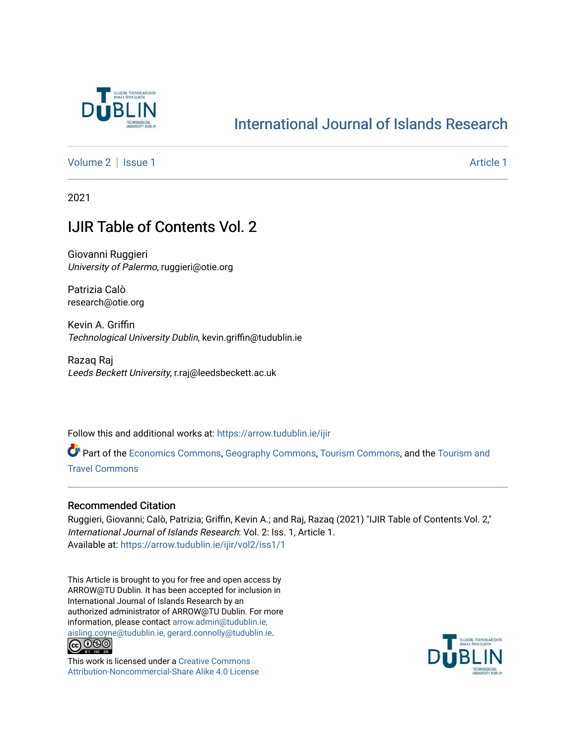

## [International Journal of Islands Research](https://arrow.tudublin.ie/ijir)

[Volume 2](https://arrow.tudublin.ie/ijir/vol2) | [Issue 1](https://arrow.tudublin.ie/ijir/vol2/iss1) Article 1

2021

### IJIR Table of Contents Vol. 2

Giovanni Ruggieri University of Palermo, ruggieri@otie.org

Patrizia Calò research@otie.org

Kevin A. Griffin Technological University Dublin, kevin.griffin@tudublin.ie

Razaq Raj Leeds Beckett University, r.raj@leedsbeckett.ac.uk

Follow this and additional works at: [https://arrow.tudublin.ie/ijir](https://arrow.tudublin.ie/ijir?utm_source=arrow.tudublin.ie%2Fijir%2Fvol2%2Fiss1%2F1&utm_medium=PDF&utm_campaign=PDFCoverPages) 

Part of the [Economics Commons](http://network.bepress.com/hgg/discipline/340?utm_source=arrow.tudublin.ie%2Fijir%2Fvol2%2Fiss1%2F1&utm_medium=PDF&utm_campaign=PDFCoverPages), [Geography Commons](http://network.bepress.com/hgg/discipline/354?utm_source=arrow.tudublin.ie%2Fijir%2Fvol2%2Fiss1%2F1&utm_medium=PDF&utm_campaign=PDFCoverPages), [Tourism Commons,](http://network.bepress.com/hgg/discipline/1022?utm_source=arrow.tudublin.ie%2Fijir%2Fvol2%2Fiss1%2F1&utm_medium=PDF&utm_campaign=PDFCoverPages) and the [Tourism and](http://network.bepress.com/hgg/discipline/1082?utm_source=arrow.tudublin.ie%2Fijir%2Fvol2%2Fiss1%2F1&utm_medium=PDF&utm_campaign=PDFCoverPages) [Travel Commons](http://network.bepress.com/hgg/discipline/1082?utm_source=arrow.tudublin.ie%2Fijir%2Fvol2%2Fiss1%2F1&utm_medium=PDF&utm_campaign=PDFCoverPages)

### Recommended Citation

Ruggieri, Giovanni; Calò, Patrizia; Griffin, Kevin A.; and Raj, Razaq (2021) "IJIR Table of Contents Vol. 2," International Journal of Islands Research: Vol. 2: Iss. 1, Article 1. Available at: [https://arrow.tudublin.ie/ijir/vol2/iss1/1](https://arrow.tudublin.ie/ijir/vol2/iss1/1?utm_source=arrow.tudublin.ie%2Fijir%2Fvol2%2Fiss1%2F1&utm_medium=PDF&utm_campaign=PDFCoverPages) 

This Article is brought to you for free and open access by ARROW@TU Dublin. It has been accepted for inclusion in International Journal of Islands Research by an authorized administrator of ARROW@TU Dublin. For more information, please contact [arrow.admin@tudublin.ie,](mailto:arrow.admin@tudublin.ie,%20aisling.coyne@tudublin.ie,%20gerard.connolly@tudublin.ie)  [aisling.coyne@tudublin.ie, gerard.connolly@tudublin.ie](mailto:arrow.admin@tudublin.ie,%20aisling.coyne@tudublin.ie,%20gerard.connolly@tudublin.ie).<br>
co 000



This work is licensed under a [Creative Commons](http://creativecommons.org/licenses/by-nc-sa/4.0/) [Attribution-Noncommercial-Share Alike 4.0 License](http://creativecommons.org/licenses/by-nc-sa/4.0/)

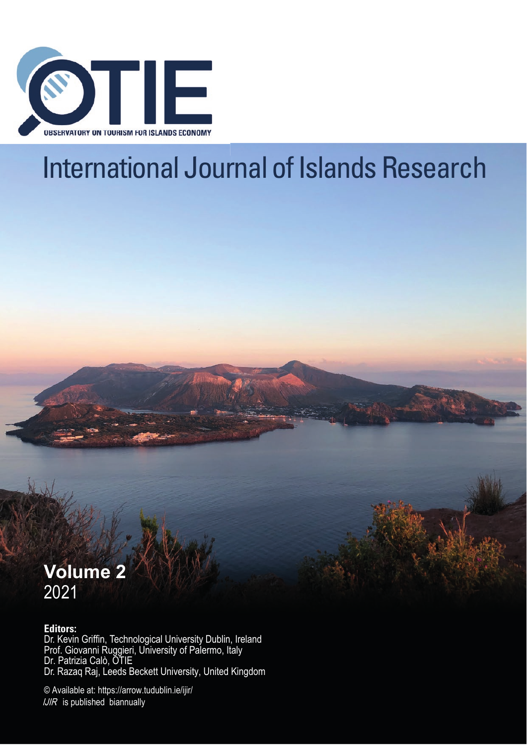

# International Journal of Islands Research



### **Editors:**

Dr. Kevin Griffin, Technological University Dublin, Ireland Prof. Giovanni Ruggieri, University of Palermo, Italy Dr. Patrizia Calò, OTIE Dr. Razaq Raj, Leeds Beckett University, United Kingdom

© Available at: https://arrow.tudublin.ie/ijir/  $IJIR$  is published biannually